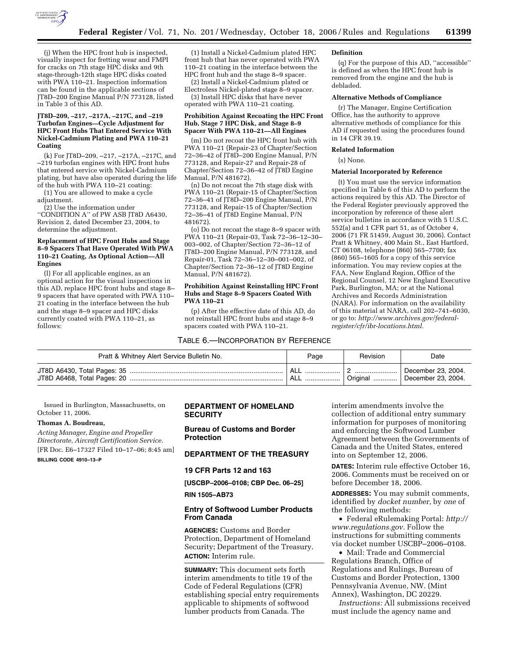

(j) When the HPC front hub is inspected, visually inspect for fretting wear and FMPI for cracks on 7th stage HPC disks and 9th stage-through-12th stage HPC disks coated with PWA 110–21. Inspection information can be found in the applicable sections of JT8D-200 Engine Manual P/N 773128, listed in Table 3 of this AD.

#### **JT8D–209, –217, –217A, –217C, and –219 Turbofan Engines—Cycle Adjustment for HPC Front Hubs That Entered Service With Nickel-Cadmium Plating and PWA 110–21 Coating**

(k) For JT8D–209, –217, –217A, –217C, and –219 turbofan engines with HPC front hubs that entered service with Nickel-Cadmium plating, but have also operated during the life of the hub with PWA 110–21 coating:

(1) You are allowed to make a cycle adjustment.

(2) Use the information under

''CONDITION A'' of PW ASB JT8D A6430, Revision 2, dated December 23, 2004, to determine the adjustment.

### **Replacement of HPC Front Hubs and Stage 8–9 Spacers That Have Operated With PWA 110–21 Coating, As Optional Action—All Engines**

(l) For all applicable engines, as an optional action for the visual inspections in this AD, replace HPC front hubs and stage 8– 9 spacers that have operated with PWA 110– 21 coating in the interface between the hub and the stage 8–9 spacer and HPC disks currently coated with PWA 110–21, as follows:

(1) Install a Nickel-Cadmium plated HPC front hub that has never operated with PWA 110–21 coating in the interface between the HPC front hub and the stage 8–9 spacer.

(2) Install a Nickel-Cadmium plated or Electroless Nickel-plated stage 8–9 spacer. (3) Install HPC disks that have never

operated with PWA 110–21 coating.

### **Prohibition Against Recoating the HPC Front Hub, Stage 7 HPC Disk, and Stage 8–9 Spacer With PWA 110–21—All Engines**

(m) Do not recoat the HPC front hub with PWA 110–21 (Repair-23 of Chapter/Section 72–36–42 of JT8D–200 Engine Manual, P/N 773128, and Repair-27 and Repair-28 of Chapter/Section 72–36–42 of JT8D Engine Manual, P/N 481672).

(n) Do not recoat the 7th stage disk with PWA 110–21 (Repair-15 of Chapter/Section 72–36–41 of JT8D–200 Engine Manual, P/N 773128, and Repair-15 of Chapter/Section 72–36–41 of JT8D Engine Manual, P/N 481672).

(o) Do not recoat the stage 8–9 spacer with PWA 110–21 (Repair-03, Task 72–36–12–30– 003–002, of Chapter/Section 72–36–12 of JT8D–200 Engine Manual, P/N 773128, and Repair-01, Task 72–36–12–30–001–002, of Chapter/Section 72–36–12 of JT8D Engine Manual, P/N 481672).

### **Prohibition Against Reinstalling HPC Front Hubs and Stage 8–9 Spacers Coated With PWA 110–21**

(p) After the effective date of this AD, do not reinstall HPC front hubs and stage 8–9 spacers coated with PWA 110–21.

#### TABLE 6.—INCORPORATION BY REFERENCE

#### **Definition**

(q) For the purpose of this AD, ''accessible'' is defined as when the HPC front hub is removed from the engine and the hub is debladed.

#### **Alternative Methods of Compliance**

(r) The Manager, Engine Certification Office, has the authority to approve alternative methods of compliance for this AD if requested using the procedures found in 14 CFR 39.19.

#### **Related Information**

(s) None.

### **Material Incorporated by Reference**

(t) You must use the service information specified in Table 6 of this AD to perform the actions required by this AD. The Director of the Federal Register previously approved the incorporation by reference of these alert service bulletins in accordance with 5 U.S.C. 552(a) and 1 CFR part 51, as of October 4, 2006 (71 FR 51459, August 30, 2006). Contact Pratt & Whitney, 400 Main St., East Hartford, CT 06108, telephone (860) 565–7700; fax (860) 565–1605 for a copy of this service information. You may review copies at the FAA, New England Region, Office of the Regional Counsel, 12 New England Executive Park, Burlington, MA; or at the National Archives and Records Administration (NARA). For information on the availability of this material at NARA, call 202–741–6030, or go to: *http://www.archives.gov/federalregister/cfr/ibr-locations.html.* 

| Pratt & Whitney Alert Service Bulletin No. | Page | Revision | Date                                     |
|--------------------------------------------|------|----------|------------------------------------------|
|                                            |      | Original | December 23, 2004.<br>December 23, 2004. |

Issued in Burlington, Massachusetts, on October 11, 2006.

#### **Thomas A. Boudreau,**

*Acting Manager, Engine and Propeller Directorate, Aircraft Certification Service.*  [FR Doc. E6–17327 Filed 10–17–06; 8:45 am]

**BILLING CODE 4910–13–P** 

# **DEPARTMENT OF HOMELAND SECURITY**

# **Bureau of Customs and Border Protection**

# **DEPARTMENT OF THE TREASURY**

### **19 CFR Parts 12 and 163**

**[USCBP–2006–0108; CBP Dec. 06–25]** 

#### **RIN 1505–AB73**

### **Entry of Softwood Lumber Products From Canada**

**AGENCIES:** Customs and Border Protection, Department of Homeland Security; Department of the Treasury. **ACTION:** Interim rule.

**SUMMARY:** This document sets forth interim amendments to title 19 of the Code of Federal Regulations (CFR) establishing special entry requirements applicable to shipments of softwood lumber products from Canada. The

interim amendments involve the collection of additional entry summary information for purposes of monitoring and enforcing the Softwood Lumber Agreement between the Governments of Canada and the United States, entered into on September 12, 2006.

**DATES:** Interim rule effective October 16, 2006. Comments must be received on or before December 18, 2006.

**ADDRESSES:** You may submit comments, identified by *docket number*, by *one* of the following methods:

• Federal eRulemaking Portal: *http:// www.regulations.gov.* Follow the instructions for submitting comments via docket number USCBP–2006–0108.

• Mail: Trade and Commercial Regulations Branch, Office of Regulations and Rulings, Bureau of Customs and Border Protection, 1300 Pennsylvania Avenue, NW. (Mint Annex), Washington, DC 20229.

*Instructions:* All submissions received must include the agency name and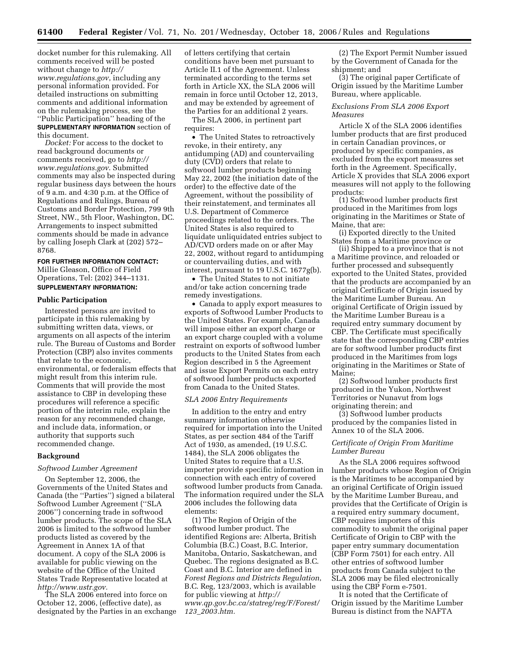docket number for this rulemaking. All comments received will be posted without change to *http:// www.regulations.gov*, including any personal information provided. For detailed instructions on submitting comments and additional information on the rulemaking process, see the ''Public Participation'' heading of the **SUPPLEMENTARY INFORMATION** section of this document.

*Docket:* For access to the docket to read background documents or comments received, go to *http:// www.regulations.gov*. Submitted comments may also be inspected during regular business days between the hours of 9 a.m. and 4:30 p.m. at the Office of Regulations and Rulings, Bureau of Customs and Border Protection, 799 9th Street, NW., 5th Floor, Washington, DC. Arrangements to inspect submitted comments should be made in advance by calling Joseph Clark at (202) 572– 8768.

**FOR FURTHER INFORMATION CONTACT:**  Millie Gleason, Office of Field Operations, Tel: (202) 344–1131.

**SUPPLEMENTARY INFORMATION:** 

# **Public Participation**

Interested persons are invited to participate in this rulemaking by submitting written data, views, or arguments on all aspects of the interim rule. The Bureau of Customs and Border Protection (CBP) also invites comments that relate to the economic, environmental, or federalism effects that might result from this interim rule. Comments that will provide the most assistance to CBP in developing these procedures will reference a specific portion of the interim rule, explain the reason for any recommended change, and include data, information, or authority that supports such recommended change.

### **Background**

#### *Softwood Lumber Agreement*

On September 12, 2006, the Governments of the United States and Canada (the ''Parties'') signed a bilateral Softwood Lumber Agreement (''SLA 2006'') concerning trade in softwood lumber products. The scope of the SLA 2006 is limited to the softwood lumber products listed as covered by the Agreement in Annex 1A of that document. A copy of the SLA 2006 is available for public viewing on the website of the Office of the United States Trade Representative located at *http://www.ustr.gov.* 

The SLA 2006 entered into force on October 12, 2006, (effective date), as designated by the Parties in an exchange of letters certifying that certain conditions have been met pursuant to Article II.1 of the Agreement. Unless terminated according to the terms set forth in Article XX, the SLA 2006 will remain in force until October 12, 2013, and may be extended by agreement of the Parties for an additional 2 years.

The SLA 2006, in pertinent part requires:

• The United States to retroactively revoke, in their entirety, any antidumping (AD) and countervailing duty (CVD) orders that relate to softwood lumber products beginning May 22, 2002 (the initiation date of the order) to the effective date of the Agreement, without the possibility of their reinstatement, and terminates all U.S. Department of Commerce proceedings related to the orders. The United States is also required to liquidate unliquidated entries subject to AD/CVD orders made on or after May 22, 2002, without regard to antidumping or countervailing duties, and with interest, pursuant to 19 U.S.C. 1677g(b).

• The United States to not initiate and/or take action concerning trade remedy investigations.

• Canada to apply export measures to exports of Softwood Lumber Products to the United States. For example, Canada will impose either an export charge or an export charge coupled with a volume restraint on exports of softwood lumber products to the United States from each Region described in 5 the Agreement and issue Export Permits on each entry of softwood lumber products exported from Canada to the United States.

### *SLA 2006 Entry Requirements*

In addition to the entry and entry summary information otherwise required for importation into the United States, as per section 484 of the Tariff Act of 1930, as amended, (19 U.S.C. 1484), the SLA 2006 obligates the United States to require that a U.S. importer provide specific information in connection with each entry of covered softwood lumber products from Canada. The information required under the SLA 2006 includes the following data elements:

(1) The Region of Origin of the softwood lumber product. The identified Regions are: Alberta, British Columbia (B.C.) Coast, B.C. Interior, Manitoba, Ontario, Saskatchewan, and Quebec. The regions designated as B.C. Coast and B.C. Interior are defined in *Forest Regions and Districts Regulation*, B.C. Reg, 123/2003, which is available for public viewing at *http:// www.qp.gov.bc.ca/statreg/reg/F/Forest/ 123*\_*2003.htm.* 

(2) The Export Permit Number issued by the Government of Canada for the shipment; and

(3) The original paper Certificate of Origin issued by the Maritime Lumber Bureau, where applicable.

## *Exclusions From SLA 2006 Export Measures*

Article X of the SLA 2006 identifies lumber products that are first produced in certain Canadian provinces, or produced by specific companies, as excluded from the export measures set forth in the Agreement. Specifically, Article X provides that SLA 2006 export measures will not apply to the following products:

(1) Softwood lumber products first produced in the Maritimes from logs originating in the Maritimes or State of Maine, that are:

(i) Exported directly to the United States from a Maritime province or

(ii) Shipped to a province that is not a Maritime province, and reloaded or further processed and subsequently exported to the United States, provided that the products are accompanied by an original Certificate of Origin issued by the Maritime Lumber Bureau. An original Certificate of Origin issued by the Maritime Lumber Bureau is a required entry summary document by CBP. The Certificate must specifically state that the corresponding CBP entries are for softwood lumber products first produced in the Maritimes from logs originating in the Maritimes or State of Maine;

(2) Softwood lumber products first produced in the Yukon, Northwest Territories or Nunavut from logs originating therein; and

(3) Softwood lumber products produced by the companies listed in Annex 10 of the SLA 2006.

## *Certificate of Origin From Maritime Lumber Bureau*

As the SLA 2006 requires softwood lumber products whose Region of Origin is the Maritimes to be accompanied by an original Certificate of Origin issued by the Maritime Lumber Bureau, and provides that the Certificate of Origin is a required entry summary document, CBP requires importers of this commodity to submit the original paper Certificate of Origin to CBP with the paper entry summary documentation (CBP Form 7501) for each entry. All other entries of softwood lumber products from Canada subject to the SLA 2006 may be filed electronically using the CBP Form e-7501.

It is noted that the Certificate of Origin issued by the Maritime Lumber Bureau is distinct from the NAFTA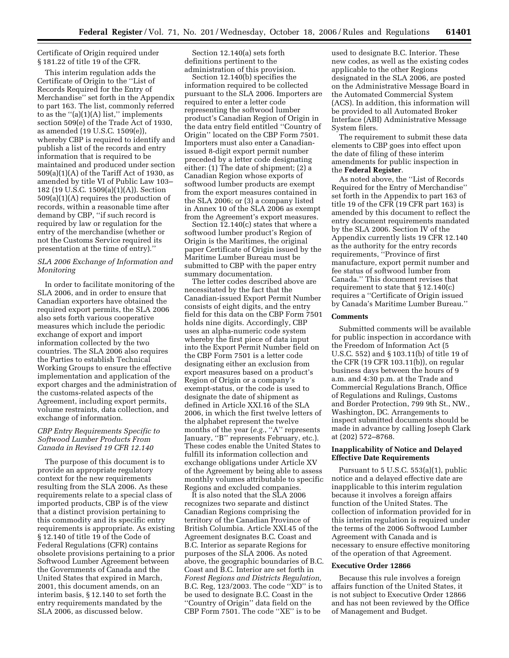Certificate of Origin required under § 181.22 of title 19 of the CFR.

This interim regulation adds the Certificate of Origin to the ''List of Records Required for the Entry of Merchandise'' set forth in the Appendix to part 163. The list, commonly referred to as the  $"$ (a)(1)(A) list," implements section 509(e) of the Trade Act of 1930, as amended (19 U.S.C. 1509(e)), whereby CBP is required to identify and publish a list of the records and entry information that is required to be maintained and produced under section 509(a)(1)(A) of the Tariff Act of 1930, as amended by title VI of Public Law 103– 182 (19 U.S.C. 1509(a)(1)(A)). Section 509(a)(1)(A) requires the production of records, within a reasonable time after demand by CBP, ''if such record is required by law or regulation for the entry of the merchandise (whether or not the Customs Service required its presentation at the time of entry).''

### *SLA 2006 Exchange of Information and Monitoring*

In order to facilitate monitoring of the SLA 2006, and in order to ensure that Canadian exporters have obtained the required export permits, the SLA 2006 also sets forth various cooperative measures which include the periodic exchange of export and import information collected by the two countries. The SLA 2006 also requires the Parties to establish Technical Working Groups to ensure the effective implementation and application of the export charges and the administration of the customs-related aspects of the Agreement, including export permits, volume restraints, data collection, and exchange of information.

### *CBP Entry Requirements Specific to Softwood Lumber Products From Canada in Revised 19 CFR 12.140*

The purpose of this document is to provide an appropriate regulatory context for the new requirements resulting from the SLA 2006. As these requirements relate to a special class of imported products, CBP is of the view that a distinct provision pertaining to this commodity and its specific entry requirements is appropriate. As existing § 12.140 of title 19 of the Code of Federal Regulations (CFR) contains obsolete provisions pertaining to a prior Softwood Lumber Agreement between the Governments of Canada and the United States that expired in March, 2001, this document amends, on an interim basis, § 12.140 to set forth the entry requirements mandated by the SLA 2006, as discussed below.

Section 12.140(a) sets forth definitions pertinent to the administration of this provision.

Section 12.140(b) specifies the information required to be collected pursuant to the SLA 2006. Importers are required to enter a letter code representing the softwood lumber product's Canadian Region of Origin in the data entry field entitled ''Country of Origin'' located on the CBP Form 7501. Importers must also enter a Canadianissued 8-digit export permit number preceded by a letter code designating either: (1) The date of shipment; (2) a Canadian Region whose exports of softwood lumber products are exempt from the export measures contained in the SLA 2006; or (3) a company listed in Annex 10 of the SLA 2006 as exempt from the Agreement's export measures.

Section 12.140(c) states that where a softwood lumber product's Region of Origin is the Maritimes, the original paper Certificate of Origin issued by the Maritime Lumber Bureau must be submitted to CBP with the paper entry summary documentation.

The letter codes described above are necessitated by the fact that the Canadian-issued Export Permit Number consists of eight digits, and the entry field for this data on the CBP Form 7501 holds nine digits. Accordingly, CBP uses an alpha-numeric code system whereby the first piece of data input into the Export Permit Number field on the CBP Form 7501 is a letter code designating either an exclusion from export measures based on a product's Region of Origin or a company's exempt-status, or the code is used to designate the date of shipment as defined in Article XXI.16 of the SLA 2006, in which the first twelve letters of the alphabet represent the twelve months of the year (*e.g.*, "A" represents January, "B" represents February, etc.). These codes enable the United States to fulfill its information collection and exchange obligations under Article XV of the Agreement by being able to assess monthly volumes attributable to specific Regions and excluded companies.

It is also noted that the SLA 2006 recognizes two separate and distinct Canadian Regions comprising the territory of the Canadian Province of British Columbia. Article XXI.45 of the Agreement designates B.C. Coast and B.C. Interior as separate Regions for purposes of the SLA 2006. As noted above, the geographic boundaries of B.C. Coast and B.C. Interior are set forth in *Forest Regions and Districts Regulation,*  B.C. Reg, 123/2003. The code ''XD'' is to be used to designate B.C. Coast in the ''Country of Origin'' data field on the CBP Form 7501. The code ''XE'' is to be

used to designate B.C. Interior. These new codes, as well as the existing codes applicable to the other Regions designated in the SLA 2006, are posted on the Administrative Message Board in the Automated Commercial System (ACS). In addition, this information will be provided to all Automated Broker Interface (ABI) Administrative Message System filers.

The requirement to submit these data elements to CBP goes into effect upon the date of filing of these interim amendments for public inspection in the **Federal Register**.

As noted above, the ''List of Records Required for the Entry of Merchandise'' set forth in the Appendix to part 163 of title 19 of the CFR (19 CFR part 163) is amended by this document to reflect the entry document requirements mandated by the SLA 2006. Section IV of the Appendix currently lists 19 CFR 12.140 as the authority for the entry records requirements, ''Province of first manufacture, export permit number and fee status of softwood lumber from Canada.'' This document revises that requirement to state that § 12.140(c) requires a ''Certificate of Origin issued by Canada's Maritime Lumber Bureau.''

#### **Comments**

Submitted comments will be available for public inspection in accordance with the Freedom of Information Act (5 U.S.C. 552) and § 103.11(b) of title 19 of the CFR (19 CFR 103.11(b)), on regular business days between the hours of 9 a.m. and 4:30 p.m. at the Trade and Commercial Regulations Branch, Office of Regulations and Rulings, Customs and Border Protection, 799 9th St., NW., Washington, DC. Arrangements to inspect submitted documents should be made in advance by calling Joseph Clark at (202) 572–8768.

# **Inapplicability of Notice and Delayed Effective Date Requirements**

Pursuant to 5 U.S.C. 553(a)(1), public notice and a delayed effective date are inapplicable to this interim regulation because it involves a foreign affairs function of the United States. The collection of information provided for in this interim regulation is required under the terms of the 2006 Softwood Lumber Agreement with Canada and is necessary to ensure effective monitoring of the operation of that Agreement.

#### **Executive Order 12866**

Because this rule involves a foreign affairs function of the United States, it is not subject to Executive Order 12866 and has not been reviewed by the Office of Management and Budget.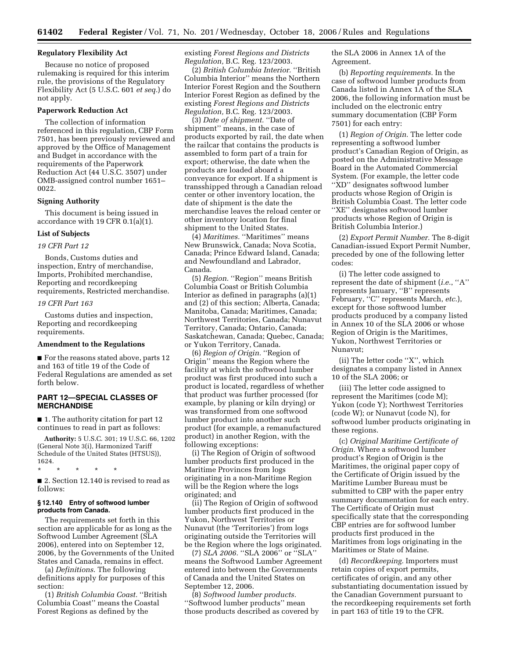## **Regulatory Flexibility Act**

Because no notice of proposed rulemaking is required for this interim rule, the provisions of the Regulatory Flexibility Act (5 U.S.C. 601 *et seq.*) do not apply.

### **Paperwork Reduction Act**

The collection of information referenced in this regulation, CBP Form 7501, has been previously reviewed and approved by the Office of Management and Budget in accordance with the requirements of the Paperwork Reduction Act (44 U.S.C. 3507) under OMB-assigned control number 1651– 0022.

### **Signing Authority**

This document is being issued in accordance with 19 CFR 0.1(a)(1).

## **List of Subjects**

# *19 CFR Part 12*

Bonds, Customs duties and inspection, Entry of merchandise, Imports, Prohibited merchandise, Reporting and recordkeeping requirements, Restricted merchandise.

#### *19 CFR Part 163*

Customs duties and inspection, Reporting and recordkeeping requirements.

### **Amendment to the Regulations**

■ For the reasons stated above, parts 12 and 163 of title 19 of the Code of Federal Regulations are amended as set forth below.

## **PART 12—SPECIAL CLASSES OF MERCHANDISE**

■ 1. The authority citation for part 12 continues to read in part as follows:

**Authority:** 5 U.S.C. 301; 19 U.S.C. 66, 1202 (General Note 3(i), Harmonized Tariff Schedule of the United States (HTSUS)), 1624.

\* \* \* \* \*

■ 2. Section 12.140 is revised to read as follows:

### **§ 12.140 Entry of softwood lumber products from Canada.**

The requirements set forth in this section are applicable for as long as the Softwood Lumber Agreement (SLA 2006), entered into on September 12, 2006, by the Governments of the United States and Canada, remains in effect.

(a) *Definitions*. The following definitions apply for purposes of this section:

(1) *British Columbia Coast.* ''British Columbia Coast'' means the Coastal Forest Regions as defined by the

existing *Forest Regions and Districts Regulation,* B.C. Reg. 123/2003.

(2) *British Columbia Interior.* ''British Columbia Interior'' means the Northern Interior Forest Region and the Southern Interior Forest Region as defined by the existing *Forest Regions and Districts Regulation,* B.C. Reg. 123/2003.

(3) *Date of shipment.* ''Date of shipment'' means, in the case of products exported by rail, the date when the railcar that contains the products is assembled to form part of a train for export; otherwise, the date when the products are loaded aboard a conveyance for export. If a shipment is transshipped through a Canadian reload center or other inventory location, the date of shipment is the date the merchandise leaves the reload center or other inventory location for final shipment to the United States.

(4) *Maritimes.* ''Maritimes'' means New Brunswick, Canada; Nova Scotia, Canada; Prince Edward Island, Canada; and Newfoundland and Labrador, Canada.

(5) *Region.* ''Region'' means British Columbia Coast or British Columbia Interior as defined in paragraphs (a)(1) and (2) of this section; Alberta, Canada; Manitoba, Canada; Maritimes, Canada; Northwest Territories, Canada; Nunavut Territory, Canada; Ontario, Canada; Saskatchewan, Canada; Quebec, Canada; or Yukon Territory, Canada.

(6) *Region of Origin.* ''Region of Origin'' means the Region where the facility at which the softwood lumber product was first produced into such a product is located, regardless of whether that product was further processed (for example, by planing or kiln drying) or was transformed from one softwood lumber product into another such product (for example, a remanufactured product) in another Region, with the following exceptions:

(i) The Region of Origin of softwood lumber products first produced in the Maritime Provinces from logs originating in a non-Maritime Region will be the Region where the logs originated; and

(ii) The Region of Origin of softwood lumber products first produced in the Yukon, Northwest Territories or Nunavut (the 'Territories') from logs originating outside the Territories will be the Region where the logs originated.

(7) *SLA 2006.* ''SLA 2006'' or ''SLA'' means the Softwood Lumber Agreement entered into between the Governments of Canada and the United States on September 12, 2006.

(8) *Softwood lumber products.*  ''Softwood lumber products'' mean those products described as covered by the SLA 2006 in Annex 1A of the Agreement.

(b) *Reporting requirements.* In the case of softwood lumber products from Canada listed in Annex 1A of the SLA 2006, the following information must be included on the electronic entry summary documentation (CBP Form 7501) for each entry:

(1) *Region of Origin.* The letter code representing a softwood lumber product's Canadian Region of Origin, as posted on the Administrative Message Board in the Automated Commercial System. (For example, the letter code ''XD'' designates softwood lumber products whose Region of Origin is British Columbia Coast. The letter code ''XE'' designates softwood lumber products whose Region of Origin is British Columbia Interior.)

(2) *Export Permit Number.* The 8-digit Canadian-issued Export Permit Number, preceded by one of the following letter codes:

(i) The letter code assigned to represent the date of shipment (*i.e.*, ''A'' represents January, ''B'' represents February, ''C'' represents March, *etc*.), except for those softwood lumber products produced by a company listed in Annex 10 of the SLA 2006 or whose Region of Origin is the Maritimes, Yukon, Northwest Territories or Nunavut;

(ii) The letter code ''X'', which designates a company listed in Annex 10 of the SLA 2006; or

(iii) The letter code assigned to represent the Maritimes (code M); Yukon (code Y); Northwest Territories (code W); or Nunavut (code N), for softwood lumber products originating in these regions.

(c) *Original Maritime Certificate of Origin.* Where a softwood lumber product's Region of Origin is the Maritimes, the original paper copy of the Certificate of Origin issued by the Maritime Lumber Bureau must be submitted to CBP with the paper entry summary documentation for each entry. The Certificate of Origin must specifically state that the corresponding CBP entries are for softwood lumber products first produced in the Maritimes from logs originating in the Maritimes or State of Maine.

(d) *Recordkeeping.* Importers must retain copies of export permits, certificates of origin, and any other substantiating documentation issued by the Canadian Government pursuant to the recordkeeping requirements set forth in part 163 of title 19 to the CFR.